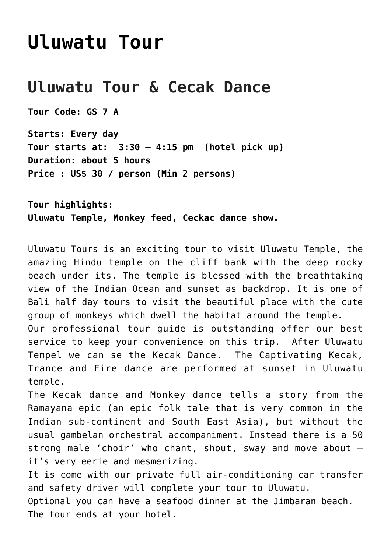# **[Uluwatu Tour](http://griyasari.com/listings/uluwatu-tour/)**

# **Uluwatu Tour & Cecak Dance**

**Tour Code: GS 7 A**

**Starts: Every day Tour starts at: 3:30 – 4:15 pm (hotel pick up) Duration: about 5 hours Price : US\$ 30 / person (Min 2 persons)**

**Tour highlights: Uluwatu Temple, Monkey feed, Ceckac dance show.**

Uluwatu Tours is an exciting tour to visit Uluwatu Temple, the amazing Hindu temple on the cliff bank with the deep rocky beach under its. The temple is blessed with the breathtaking view of the Indian Ocean and sunset as backdrop. It is one of Bali half day tours to visit the beautiful place with the cute group of monkeys which dwell the habitat around the temple. Our professional tour guide is outstanding offer our best

service to keep your convenience on this trip. After Uluwatu Tempel we can se the Kecak Dance. The Captivating Kecak, Trance and Fire dance are performed at sunset in Uluwatu temple.

The Kecak dance and Monkey dance tells a story from the Ramayana epic (an epic folk tale that is very common in the Indian sub-continent and South East Asia), but without the usual gambelan orchestral accompaniment. Instead there is a 50 strong male 'choir' who chant, shout, sway and move about – it's very eerie and mesmerizing.

It is come with our private full air-conditioning car transfer and safety driver will complete your tour to Uluwatu.

Optional you can have a seafood dinner at the Jimbaran beach. The tour ends at your hotel.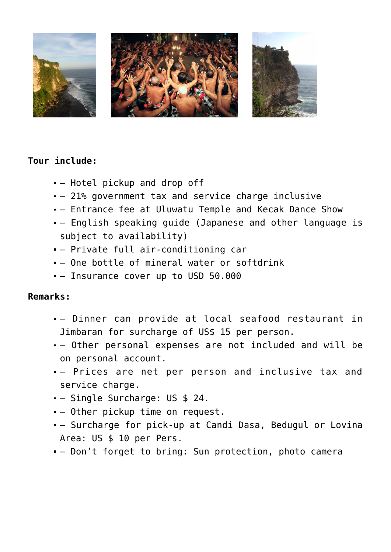

### **Tour include:**

- Hotel pickup and drop off
- 21% government tax and service charge inclusive
- Entrance fee at Uluwatu Temple and Kecak Dance Show
- English speaking guide (Japanese and other language is subject to availability)
- Private full air-conditioning car
- One bottle of mineral water or softdrink
- Insurance cover up to USD 50.000

#### **Remarks:**

- Dinner can provide at local seafood restaurant in Jimbaran for surcharge of US\$ 15 per person.
- Other personal expenses are not included and will be on personal account.
- Prices are net per person and inclusive tax and service charge.
- Single Surcharge: US \$ 24.
- Other pickup time on request.
- Surcharge for pick-up at Candi Dasa, Bedugul or Lovina Area: US \$ 10 per Pers.
- Don't forget to bring: Sun protection, photo camera